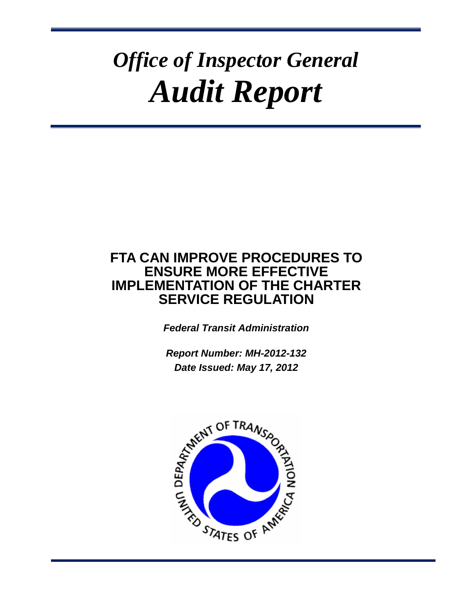# *Office of Inspector General Audit Report*

# **FTA CAN IMPROVE PROCEDURES TO ENSURE MORE EFFECTIVE IMPLEMENTATION OF THE CHARTER SERVICE REGULATION**

*Federal Transit Administration*

*Report Number: MH-2012-132 Date Issued: May 17, 2012*

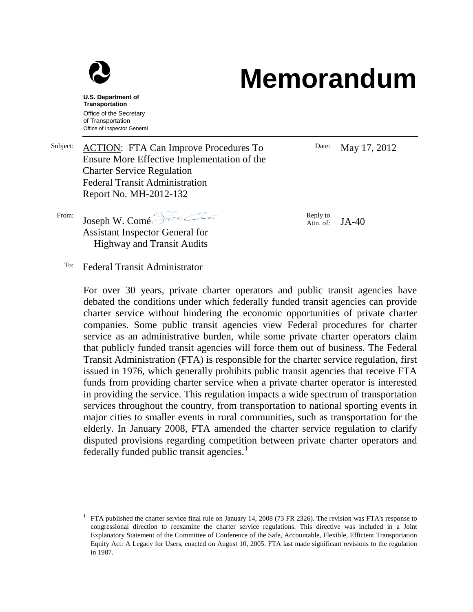

# **Memorandum**

**U.S. Department of Transportation** Office of the Secretary of Transportation Office of Inspector General

Subject: ACTION: FTA Can Improve Procedures To Ensure More Effective Implementation of the Charter Service Regulation Federal Transit Administration Report No. MH-2012-132

Date: May 17, 2012

Reply to<br>Attn. of:  $JA-40$ 

From: Joseph W. Comé Assistant Inspector General for Highway and Transit Audits

To: Federal Transit Administrator

For over 30 years, private charter operators and public transit agencies have debated the conditions under which federally funded transit agencies can provide charter service without hindering the economic opportunities of private charter companies. Some public transit agencies view Federal procedures for charter service as an administrative burden, while some private charter operators claim that publicly funded transit agencies will force them out of business. The Federal Transit Administration (FTA) is responsible for the charter service regulation, first issued in 1976, which generally prohibits public transit agencies that receive FTA funds from providing charter service when a private charter operator is interested in providing the service. This regulation impacts a wide spectrum of transportation services throughout the country, from transportation to national sporting events in major cities to smaller events in rural communities, such as transportation for the elderly. In January 2008, FTA amended the charter service regulation to clarify disputed provisions regarding competition between private charter operators and federally funded public transit agencies.<sup>[1](#page-1-0)</sup>

<span id="page-1-0"></span><sup>&</sup>lt;sup>1</sup> FTA published the charter service final rule on January 14, 2008 (73 FR 2326). The revision was FTA's response to congressional direction to reexamine the charter service regulations. This directive was included in a Joint Explanatory Statement of the Committee of Conference of the Safe, Accountable, Flexible, Efficient Transportation Equity Act: A Legacy for Users, enacted on August 10, 2005. FTA last made significant revisions to the regulation in 1987.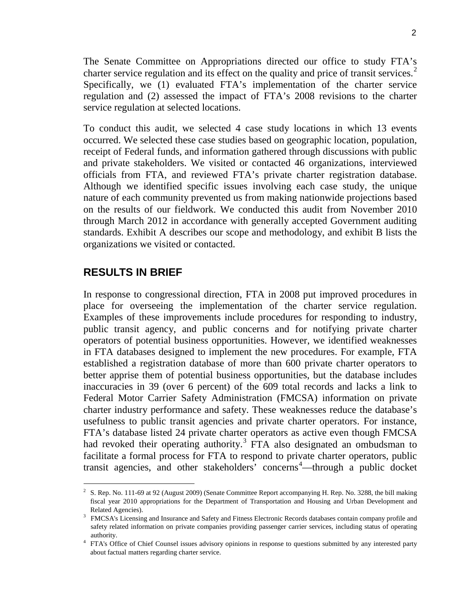The Senate Committee on Appropriations directed our office to study FTA's charter service regulation and its effect on the quality and price of transit services.<sup>[2](#page-2-0)</sup> Specifically, we (1) evaluated FTA's implementation of the charter service regulation and (2) assessed the impact of FTA's 2008 revisions to the charter service regulation at selected locations.

To conduct this audit, we selected 4 case study locations in which 13 events occurred. We selected these case studies based on geographic location, population, receipt of Federal funds, and information gathered through discussions with public and private stakeholders. We visited or contacted 46 organizations, interviewed officials from FTA, and reviewed FTA's private charter registration database. Although we identified specific issues involving each case study, the unique nature of each community prevented us from making nationwide projections based on the results of our fieldwork. We conducted this audit from November 2010 through March 2012 in accordance with generally accepted Government auditing standards. Exhibit A describes our scope and methodology, and exhibit B lists the organizations we visited or contacted.

### **RESULTS IN BRIEF**

In response to congressional direction, FTA in 2008 put improved procedures in place for overseeing the implementation of the charter service regulation. Examples of these improvements include procedures for responding to industry, public transit agency, and public concerns and for notifying private charter operators of potential business opportunities. However, we identified weaknesses in FTA databases designed to implement the new procedures. For example, FTA established a registration database of more than 600 private charter operators to better apprise them of potential business opportunities, but the database includes inaccuracies in 39 (over 6 percent) of the 609 total records and lacks a link to Federal Motor Carrier Safety Administration (FMCSA) information on private charter industry performance and safety. These weaknesses reduce the database's usefulness to public transit agencies and private charter operators. For instance, FTA's database listed 24 private charter operators as active even though FMCSA had revoked their operating authority.<sup>[3](#page-2-1)</sup> FTA also designated an ombudsman to facilitate a formal process for FTA to respond to private charter operators, public transit agencies, and other stakeholders' concerns [4](#page-2-2) —through a public docket

<span id="page-2-0"></span><sup>&</sup>lt;sup>2</sup> S. Rep. No. 111-69 at 92 (August 2009) (Senate Committee Report accompanying H. Rep. No. 3288, the bill making fiscal year 2010 appropriations for the Department of Transportation and Housing and Urban Development and Related Agencies).

<span id="page-2-1"></span><sup>&</sup>lt;sup>3</sup> FMCSA's Licensing and Insurance and Safety and Fitness Electronic Records databases contain company profile and safety related information on private companies providing passenger carrier services, including status of operating

<span id="page-2-2"></span>authority. 4 FTA's Office of Chief Counsel issues advisory opinions in response to questions submitted by any interested party about factual matters regarding charter service.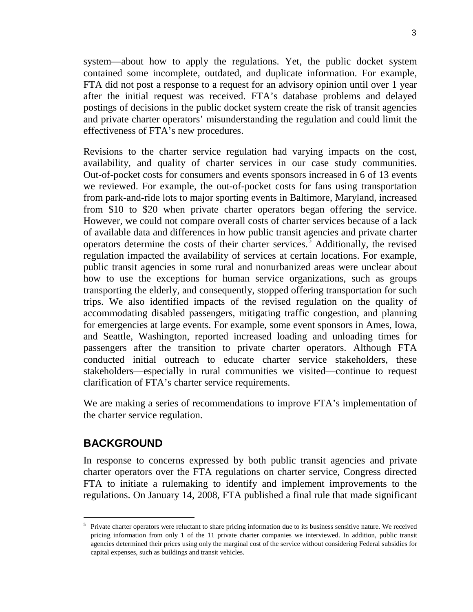system—about how to apply the regulations. Yet, the public docket system contained some incomplete, outdated, and duplicate information. For example, FTA did not post a response to a request for an advisory opinion until over 1 year after the initial request was received. FTA's database problems and delayed postings of decisions in the public docket system create the risk of transit agencies and private charter operators' misunderstanding the regulation and could limit the effectiveness of FTA's new procedures.

Revisions to the charter service regulation had varying impacts on the cost, availability, and quality of charter services in our case study communities. Out-of-pocket costs for consumers and events sponsors increased in 6 of 13 events we reviewed. For example, the out-of-pocket costs for fans using transportation from park-and-ride lots to major sporting events in Baltimore, Maryland, increased from \$10 to \$20 when private charter operators began offering the service. However, we could not compare overall costs of charter services because of a lack of available data and differences in how public transit agencies and private charter operators determine the costs of their charter services.<sup>[5](#page-3-0)</sup> Additionally, the revised regulation impacted the availability of services at certain locations. For example, public transit agencies in some rural and nonurbanized areas were unclear about how to use the exceptions for human service organizations, such as groups transporting the elderly, and consequently, stopped offering transportation for such trips. We also identified impacts of the revised regulation on the quality of accommodating disabled passengers, mitigating traffic congestion, and planning for emergencies at large events. For example, some event sponsors in Ames, Iowa, and Seattle, Washington, reported increased loading and unloading times for passengers after the transition to private charter operators. Although FTA conducted initial outreach to educate charter service stakeholders, these stakeholders—especially in rural communities we visited—continue to request clarification of FTA's charter service requirements.

We are making a series of recommendations to improve FTA's implementation of the charter service regulation.

## **BACKGROUND**

In response to concerns expressed by both public transit agencies and private charter operators over the FTA regulations on charter service, Congress directed FTA to initiate a rulemaking to identify and implement improvements to the regulations. On January 14, 2008, FTA published a final rule that made significant

<span id="page-3-0"></span><sup>&</sup>lt;sup>5</sup> Private charter operators were reluctant to share pricing information due to its business sensitive nature. We received pricing information from only 1 of the 11 private charter companies we interviewed. In addition, public transit agencies determined their prices using only the marginal cost of the service without considering Federal subsidies for capital expenses, such as buildings and transit vehicles.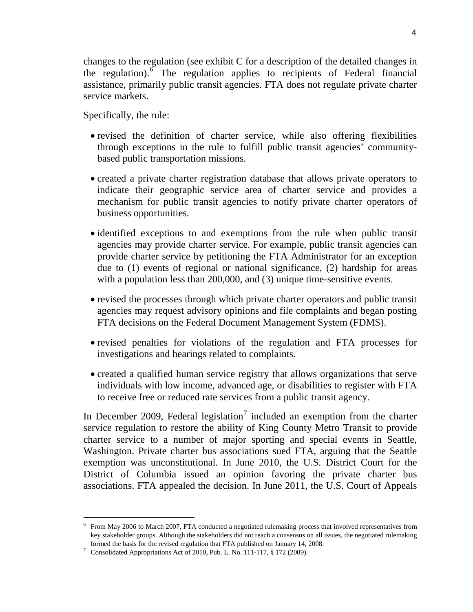changes to the regulation (see exhibit C for a description of the detailed changes in the regulation). The regulation applies to recipients of Federal financial assistance, primarily public transit agencies. FTA does not regulate private charter service markets.

Specifically, the rule:

- revised the definition of charter service, while also offering flexibilities through exceptions in the rule to fulfill public transit agencies' communitybased public transportation missions.
- created a private charter registration database that allows private operators to indicate their geographic service area of charter service and provides a mechanism for public transit agencies to notify private charter operators of business opportunities.
- identified exceptions to and exemptions from the rule when public transit agencies may provide charter service. For example, public transit agencies can provide charter service by petitioning the FTA Administrator for an exception due to (1) events of regional or national significance, (2) hardship for areas with a population less than 200,000, and (3) unique time-sensitive events.
- revised the processes through which private charter operators and public transit agencies may request advisory opinions and file complaints and began posting FTA decisions on the Federal Document Management System (FDMS).
- revised penalties for violations of the regulation and FTA processes for investigations and hearings related to complaints.
- created a qualified human service registry that allows organizations that serve individuals with low income, advanced age, or disabilities to register with FTA to receive free or reduced rate services from a public transit agency.

In December 2009, Federal legislation<sup>[7](#page-4-1)</sup> included an exemption from the charter service regulation to restore the ability of King County Metro Transit to provide charter service to a number of major sporting and special events in Seattle, Washington. Private charter bus associations sued FTA, arguing that the Seattle exemption was unconstitutional. In June 2010, the U.S. District Court for the District of Columbia issued an opinion favoring the private charter bus associations. FTA appealed the decision. In June 2011, the U.S. Court of Appeals

<span id="page-4-0"></span> <sup>6</sup> From May 2006 to March 2007, FTA conducted a negotiated rulemaking process that involved representatives from key stakeholder groups. Although the stakeholders did not reach a consensus on all issues, the negotiated rulemaking formed the basis for the revised regulation that FTA published on January 14, 2008.

<span id="page-4-1"></span><sup>7</sup> Consolidated Appropriations Act of 2010, Pub. L. No. 111-117, § 172 (2009).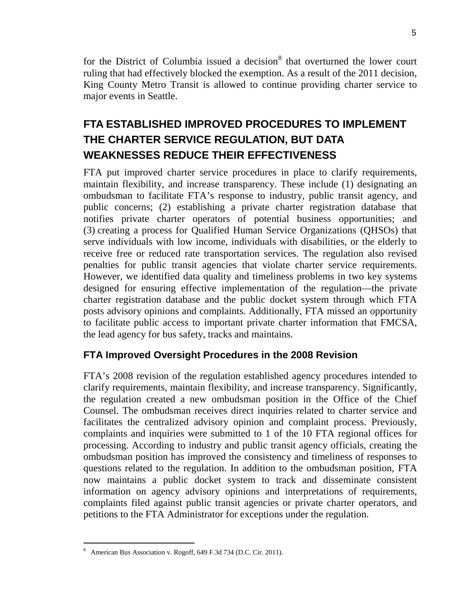for the District of Columbia issued a decision<sup>[8](#page-5-0)</sup> that overturned the lower court ruling that had effectively blocked the exemption. As a result of the 2011 decision, King County Metro Transit is allowed to continue providing charter service to major events in Seattle.

# **FTA ESTABLISHED IMPROVED PROCEDURES TO IMPLEMENT THE CHARTER SERVICE REGULATION, BUT DATA WEAKNESSES REDUCE THEIR EFFECTIVENESS**

FTA put improved charter service procedures in place to clarify requirements, maintain flexibility, and increase transparency. These include (1) designating an ombudsman to facilitate FTA's response to industry, public transit agency, and public concerns; (2) establishing a private charter registration database that notifies private charter operators of potential business opportunities; and (3) creating a process for Qualified Human Service Organizations (QHSOs) that serve individuals with low income, individuals with disabilities, or the elderly to receive free or reduced rate transportation services. The regulation also revised penalties for public transit agencies that violate charter service requirements. However, we identified data quality and timeliness problems in two key systems designed for ensuring effective implementation of the regulation—the private charter registration database and the public docket system through which FTA posts advisory opinions and complaints. Additionally, FTA missed an opportunity to facilitate public access to important private charter information that FMCSA, the lead agency for bus safety, tracks and maintains.

## **FTA Improved Oversight Procedures in the 2008 Revision**

FTA's 2008 revision of the regulation established agency procedures intended to clarify requirements, maintain flexibility, and increase transparency. Significantly, the regulation created a new ombudsman position in the Office of the Chief Counsel. The ombudsman receives direct inquiries related to charter service and facilitates the centralized advisory opinion and complaint process. Previously, complaints and inquiries were submitted to 1 of the 10 FTA regional offices for processing. According to industry and public transit agency officials, creating the ombudsman position has improved the consistency and timeliness of responses to questions related to the regulation. In addition to the ombudsman position, FTA now maintains a public docket system to track and disseminate consistent information on agency advisory opinions and interpretations of requirements, complaints filed against public transit agencies or private charter operators, and petitions to the FTA Administrator for exceptions under the regulation.

<span id="page-5-0"></span> <sup>8</sup> American Bus Association v. Rogoff, 649 F.3d 734 (D.C. Cir. 2011).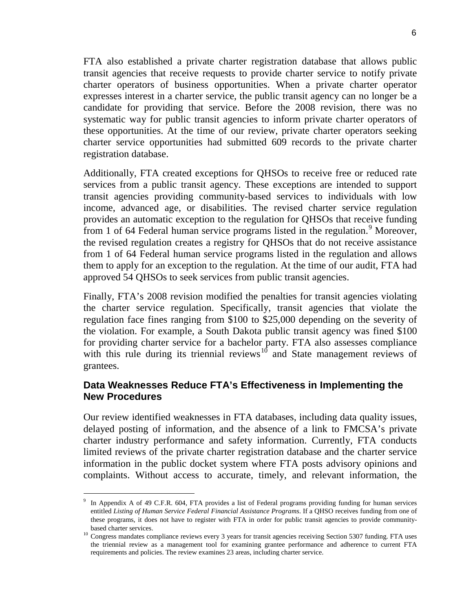FTA also established a private charter registration database that allows public transit agencies that receive requests to provide charter service to notify private charter operators of business opportunities. When a private charter operator expresses interest in a charter service, the public transit agency can no longer be a candidate for providing that service. Before the 2008 revision, there was no systematic way for public transit agencies to inform private charter operators of these opportunities. At the time of our review, private charter operators seeking charter service opportunities had submitted 609 records to the private charter registration database.

Additionally, FTA created exceptions for QHSOs to receive free or reduced rate services from a public transit agency. These exceptions are intended to support transit agencies providing community-based services to individuals with low income, advanced age, or disabilities. The revised charter service regulation provides an automatic exception to the regulation for QHSOs that receive funding from 1 of 64 Federal human service programs listed in the regulation.<sup>[9](#page-6-0)</sup> Moreover, the revised regulation creates a registry for QHSOs that do not receive assistance from 1 of 64 Federal human service programs listed in the regulation and allows them to apply for an exception to the regulation. At the time of our audit, FTA had approved 54 QHSOs to seek services from public transit agencies.

Finally, FTA's 2008 revision modified the penalties for transit agencies violating the charter service regulation. Specifically, transit agencies that violate the regulation face fines ranging from \$100 to \$25,000 depending on the severity of the violation. For example, a South Dakota public transit agency was fined \$100 for providing charter service for a bachelor party. FTA also assesses compliance with this rule during its triennial reviews<sup>[10](#page-6-1)</sup> and State management reviews of grantees.

## **Data Weaknesses Reduce FTA's Effectiveness in Implementing the New Procedures**

Our review identified weaknesses in FTA databases, including data quality issues, delayed posting of information, and the absence of a link to FMCSA's private charter industry performance and safety information. Currently, FTA conducts limited reviews of the private charter registration database and the charter service information in the public docket system where FTA posts advisory opinions and complaints. Without access to accurate, timely, and relevant information, the

<span id="page-6-0"></span>In Appendix A of 49 C.F.R. 604, FTA provides a list of Federal programs providing funding for human services entitled *Listing of Human Service Federal Financial Assistance Programs*. If a QHSO receives funding from one of these programs, it does not have to register with FTA in order for public transit agencies to provide community-

<span id="page-6-1"></span>based charter services.<br><sup>10</sup> Congress mandates compliance reviews every 3 years for transit agencies receiving Section 5307 funding. FTA uses the triennial review as a management tool for examining grantee performance and adherence to current FTA requirements and policies. The review examines 23 areas, including charter service.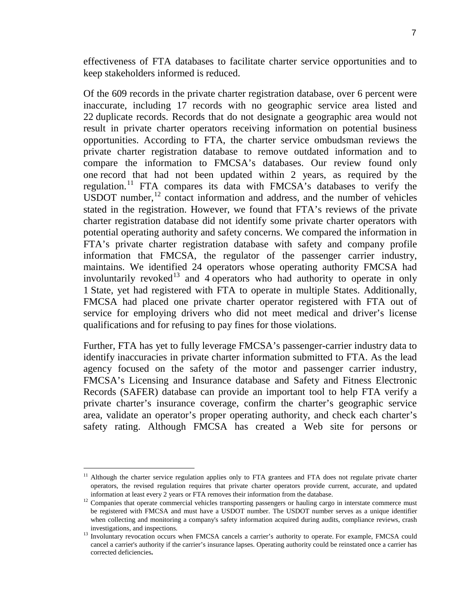effectiveness of FTA databases to facilitate charter service opportunities and to keep stakeholders informed is reduced.

Of the 609 records in the private charter registration database, over 6 percent were inaccurate, including 17 records with no geographic service area listed and 22 duplicate records. Records that do not designate a geographic area would not result in private charter operators receiving information on potential business opportunities. According to FTA, the charter service ombudsman reviews the private charter registration database to remove outdated information and to compare the information to FMCSA's databases. Our review found only one record that had not been updated within 2 years, as required by the regulation.<sup>[11](#page-7-0)</sup> FTA compares its data with FMCSA's databases to verify the USDOT number, $12$  contact information and address, and the number of vehicles stated in the registration. However, we found that FTA's reviews of the private charter registration database did not identify some private charter operators with potential operating authority and safety concerns. We compared the information in FTA's private charter registration database with safety and company profile information that FMCSA, the regulator of the passenger carrier industry, maintains. We identified 24 operators whose operating authority FMCSA had involuntarily revoked<sup>[13](#page-7-2)</sup> and 4 operators who had authority to operate in only 1 State, yet had registered with FTA to operate in multiple States. Additionally, FMCSA had placed one private charter operator registered with FTA out of service for employing drivers who did not meet medical and driver's license qualifications and for refusing to pay fines for those violations.

Further, FTA has yet to fully leverage FMCSA's passenger-carrier industry data to identify inaccuracies in private charter information submitted to FTA. As the lead agency focused on the safety of the motor and passenger carrier industry, FMCSA's Licensing and Insurance database and Safety and Fitness Electronic Records (SAFER) database can provide an important tool to help FTA verify a private charter's insurance coverage, confirm the charter's geographic service area, validate an operator's proper operating authority, and check each charter's safety rating. Although FMCSA has created a Web site for persons or

<span id="page-7-0"></span><sup>&</sup>lt;sup>11</sup> Although the charter service regulation applies only to FTA grantees and FTA does not regulate private charter operators, the revised regulation requires that private charter operators provide current, accurate, and updated information at least every 2 years or FTA removes their information from the database.

<span id="page-7-1"></span><sup>&</sup>lt;sup>12</sup> Companies that operate commercial vehicles transporting passengers or hauling cargo in interstate commerce must be registered with FMCSA and must have a USDOT number. The USDOT number serves as a unique identifier when collecting and monitoring a company's safety information acquired during audits, compliance reviews, crash

<span id="page-7-2"></span>investigations, and inspections.<br>Involuntary revocation occurs when FMCSA cancels a carrier's authority to operate. For example, FMCSA could cancel a carrier's authority if the carrier's insurance lapses. Operating authority could be reinstated once a carrier has corrected deficiencies**.**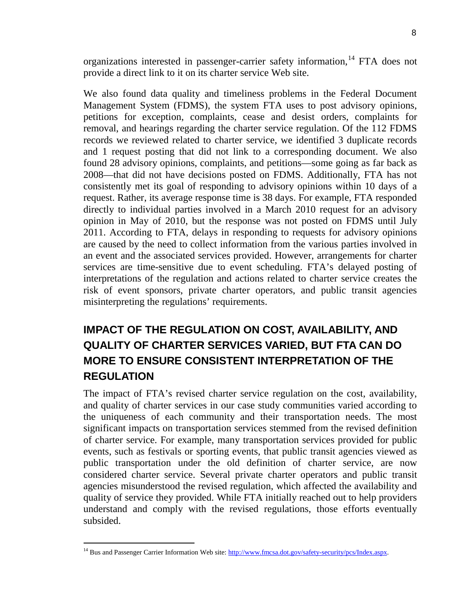organizations interested in passenger-carrier safety information, <sup>[14](#page-8-0)</sup> FTA does not provide a direct link to it on its charter service Web site.

We also found data quality and timeliness problems in the Federal Document Management System (FDMS), the system FTA uses to post advisory opinions, petitions for exception, complaints, cease and desist orders, complaints for removal, and hearings regarding the charter service regulation. Of the 112 FDMS records we reviewed related to charter service, we identified 3 duplicate records and 1 request posting that did not link to a corresponding document. We also found 28 advisory opinions, complaints, and petitions—some going as far back as 2008—that did not have decisions posted on FDMS. Additionally, FTA has not consistently met its goal of responding to advisory opinions within 10 days of a request. Rather, its average response time is 38 days. For example, FTA responded directly to individual parties involved in a March 2010 request for an advisory opinion in May of 2010, but the response was not posted on FDMS until July 2011. According to FTA, delays in responding to requests for advisory opinions are caused by the need to collect information from the various parties involved in an event and the associated services provided. However, arrangements for charter services are time-sensitive due to event scheduling. FTA's delayed posting of interpretations of the regulation and actions related to charter service creates the risk of event sponsors, private charter operators, and public transit agencies misinterpreting the regulations' requirements.

# **IMPACT OF THE REGULATION ON COST, AVAILABILITY, AND QUALITY OF CHARTER SERVICES VARIED, BUT FTA CAN DO MORE TO ENSURE CONSISTENT INTERPRETATION OF THE REGULATION**

The impact of FTA's revised charter service regulation on the cost, availability, and quality of charter services in our case study communities varied according to the uniqueness of each community and their transportation needs. The most significant impacts on transportation services stemmed from the revised definition of charter service. For example, many transportation services provided for public events, such as festivals or sporting events, that public transit agencies viewed as public transportation under the old definition of charter service, are now considered charter service. Several private charter operators and public transit agencies misunderstood the revised regulation, which affected the availability and quality of service they provided. While FTA initially reached out to help providers understand and comply with the revised regulations, those efforts eventually subsided.

<span id="page-8-0"></span><sup>&</sup>lt;sup>14</sup> Bus and Passenger Carrier Information Web site[: http://www.fmcsa.dot.gov/safety-security/pcs/Index.aspx.](http://www.fmcsa.dot.gov/safety-security/pcs/Index.aspx)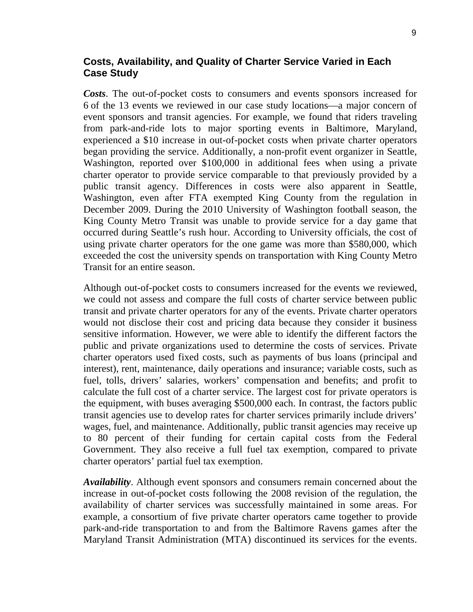## **Costs, Availability, and Quality of Charter Service Varied in Each Case Study**

*Costs*. The out-of-pocket costs to consumers and events sponsors increased for 6 of the 13 events we reviewed in our case study locations—a major concern of event sponsors and transit agencies. For example, we found that riders traveling from park-and-ride lots to major sporting events in Baltimore, Maryland, experienced a \$10 increase in out-of-pocket costs when private charter operators began providing the service. Additionally, a non-profit event organizer in Seattle, Washington, reported over \$100,000 in additional fees when using a private charter operator to provide service comparable to that previously provided by a public transit agency. Differences in costs were also apparent in Seattle, Washington, even after FTA exempted King County from the regulation in December 2009. During the 2010 University of Washington football season, the King County Metro Transit was unable to provide service for a day game that occurred during Seattle's rush hour. According to University officials, the cost of using private charter operators for the one game was more than \$580,000, which exceeded the cost the university spends on transportation with King County Metro Transit for an entire season.

Although out-of-pocket costs to consumers increased for the events we reviewed, we could not assess and compare the full costs of charter service between public transit and private charter operators for any of the events. Private charter operators would not disclose their cost and pricing data because they consider it business sensitive information. However, we were able to identify the different factors the public and private organizations used to determine the costs of services. Private charter operators used fixed costs, such as payments of bus loans (principal and interest), rent, maintenance, daily operations and insurance; variable costs, such as fuel, tolls, drivers' salaries, workers' compensation and benefits; and profit to calculate the full cost of a charter service. The largest cost for private operators is the equipment, with buses averaging \$500,000 each. In contrast, the factors public transit agencies use to develop rates for charter services primarily include drivers' wages, fuel, and maintenance. Additionally, public transit agencies may receive up to 80 percent of their funding for certain capital costs from the Federal Government. They also receive a full fuel tax exemption, compared to private charter operators' partial fuel tax exemption.

*Availability*. Although event sponsors and consumers remain concerned about the increase in out-of-pocket costs following the 2008 revision of the regulation, the availability of charter services was successfully maintained in some areas. For example, a consortium of five private charter operators came together to provide park-and-ride transportation to and from the Baltimore Ravens games after the Maryland Transit Administration (MTA) discontinued its services for the events.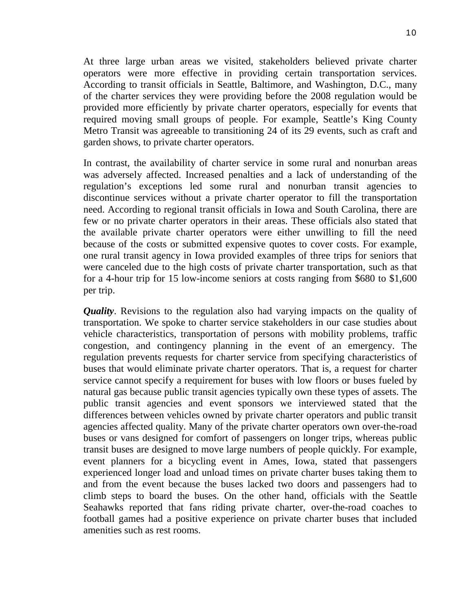At three large urban areas we visited, stakeholders believed private charter operators were more effective in providing certain transportation services. According to transit officials in Seattle, Baltimore, and Washington, D.C., many of the charter services they were providing before the 2008 regulation would be provided more efficiently by private charter operators, especially for events that required moving small groups of people. For example, Seattle's King County Metro Transit was agreeable to transitioning 24 of its 29 events, such as craft and garden shows, to private charter operators.

In contrast, the availability of charter service in some rural and nonurban areas was adversely affected. Increased penalties and a lack of understanding of the regulation's exceptions led some rural and nonurban transit agencies to discontinue services without a private charter operator to fill the transportation need. According to regional transit officials in Iowa and South Carolina, there are few or no private charter operators in their areas. These officials also stated that the available private charter operators were either unwilling to fill the need because of the costs or submitted expensive quotes to cover costs. For example, one rural transit agency in Iowa provided examples of three trips for seniors that were canceled due to the high costs of private charter transportation, such as that for a 4-hour trip for 15 low-income seniors at costs ranging from \$680 to \$1,600 per trip.

*Quality*. Revisions to the regulation also had varying impacts on the quality of transportation. We spoke to charter service stakeholders in our case studies about vehicle characteristics, transportation of persons with mobility problems, traffic congestion, and contingency planning in the event of an emergency. The regulation prevents requests for charter service from specifying characteristics of buses that would eliminate private charter operators. That is, a request for charter service cannot specify a requirement for buses with low floors or buses fueled by natural gas because public transit agencies typically own these types of assets. The public transit agencies and event sponsors we interviewed stated that the differences between vehicles owned by private charter operators and public transit agencies affected quality. Many of the private charter operators own over-the-road buses or vans designed for comfort of passengers on longer trips, whereas public transit buses are designed to move large numbers of people quickly. For example, event planners for a bicycling event in Ames, Iowa, stated that passengers experienced longer load and unload times on private charter buses taking them to and from the event because the buses lacked two doors and passengers had to climb steps to board the buses. On the other hand, officials with the Seattle Seahawks reported that fans riding private charter, over-the-road coaches to football games had a positive experience on private charter buses that included amenities such as rest rooms.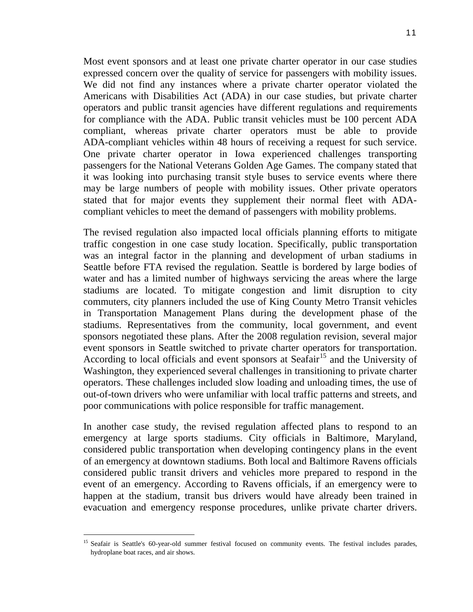Most event sponsors and at least one private charter operator in our case studies expressed concern over the quality of service for passengers with mobility issues. We did not find any instances where a private charter operator violated the Americans with Disabilities Act (ADA) in our case studies, but private charter operators and public transit agencies have different regulations and requirements for compliance with the ADA. Public transit vehicles must be 100 percent ADA compliant, whereas private charter operators must be able to provide ADA-compliant vehicles within 48 hours of receiving a request for such service. One private charter operator in Iowa experienced challenges transporting passengers for the National Veterans Golden Age Games. The company stated that it was looking into purchasing transit style buses to service events where there may be large numbers of people with mobility issues. Other private operators stated that for major events they supplement their normal fleet with ADAcompliant vehicles to meet the demand of passengers with mobility problems.

The revised regulation also impacted local officials planning efforts to mitigate traffic congestion in one case study location. Specifically, public transportation was an integral factor in the planning and development of urban stadiums in Seattle before FTA revised the regulation. Seattle is bordered by large bodies of water and has a limited number of highways servicing the areas where the large stadiums are located. To mitigate congestion and limit disruption to city commuters, city planners included the use of King County Metro Transit vehicles in Transportation Management Plans during the development phase of the stadiums. Representatives from the community, local government, and event sponsors negotiated these plans. After the 2008 regulation revision, several major event sponsors in Seattle switched to private charter operators for transportation. According to local officials and event sponsors at Seafair<sup>[15](#page-11-0)</sup> and the University of Washington, they experienced several challenges in transitioning to private charter operators. These challenges included slow loading and unloading times, the use of out-of-town drivers who were unfamiliar with local traffic patterns and streets, and poor communications with police responsible for traffic management.

In another case study, the revised regulation affected plans to respond to an emergency at large sports stadiums. City officials in Baltimore, Maryland, considered public transportation when developing contingency plans in the event of an emergency at downtown stadiums. Both local and Baltimore Ravens officials considered public transit drivers and vehicles more prepared to respond in the event of an emergency. According to Ravens officials, if an emergency were to happen at the stadium, transit bus drivers would have already been trained in evacuation and emergency response procedures, unlike private charter drivers.

<span id="page-11-0"></span><sup>&</sup>lt;sup>15</sup> Seafair is Seattle's 60-year-old summer festival focused on community events. The festival includes parades, hydroplane boat races, and air shows.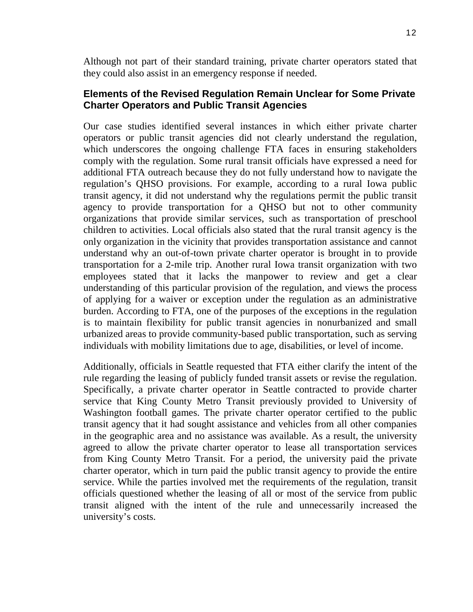Although not part of their standard training, private charter operators stated that they could also assist in an emergency response if needed.

## **Elements of the Revised Regulation Remain Unclear for Some Private Charter Operators and Public Transit Agencies**

Our case studies identified several instances in which either private charter operators or public transit agencies did not clearly understand the regulation, which underscores the ongoing challenge FTA faces in ensuring stakeholders comply with the regulation. Some rural transit officials have expressed a need for additional FTA outreach because they do not fully understand how to navigate the regulation's QHSO provisions. For example, according to a rural Iowa public transit agency, it did not understand why the regulations permit the public transit agency to provide transportation for a QHSO but not to other community organizations that provide similar services, such as transportation of preschool children to activities. Local officials also stated that the rural transit agency is the only organization in the vicinity that provides transportation assistance and cannot understand why an out-of-town private charter operator is brought in to provide transportation for a 2-mile trip. Another rural Iowa transit organization with two employees stated that it lacks the manpower to review and get a clear understanding of this particular provision of the regulation, and views the process of applying for a waiver or exception under the regulation as an administrative burden. According to FTA, one of the purposes of the exceptions in the regulation is to maintain flexibility for public transit agencies in nonurbanized and small urbanized areas to provide community-based public transportation, such as serving individuals with mobility limitations due to age, disabilities, or level of income.

Additionally, officials in Seattle requested that FTA either clarify the intent of the rule regarding the leasing of publicly funded transit assets or revise the regulation. Specifically, a private charter operator in Seattle contracted to provide charter service that King County Metro Transit previously provided to University of Washington football games. The private charter operator certified to the public transit agency that it had sought assistance and vehicles from all other companies in the geographic area and no assistance was available. As a result, the university agreed to allow the private charter operator to lease all transportation services from King County Metro Transit. For a period, the university paid the private charter operator, which in turn paid the public transit agency to provide the entire service. While the parties involved met the requirements of the regulation, transit officials questioned whether the leasing of all or most of the service from public transit aligned with the intent of the rule and unnecessarily increased the university's costs.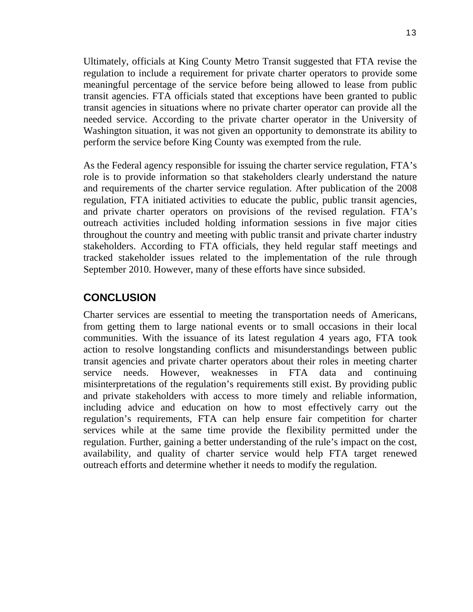Ultimately, officials at King County Metro Transit suggested that FTA revise the regulation to include a requirement for private charter operators to provide some meaningful percentage of the service before being allowed to lease from public transit agencies. FTA officials stated that exceptions have been granted to public transit agencies in situations where no private charter operator can provide all the needed service. According to the private charter operator in the University of Washington situation, it was not given an opportunity to demonstrate its ability to perform the service before King County was exempted from the rule.

As the Federal agency responsible for issuing the charter service regulation, FTA's role is to provide information so that stakeholders clearly understand the nature and requirements of the charter service regulation. After publication of the 2008 regulation, FTA initiated activities to educate the public, public transit agencies, and private charter operators on provisions of the revised regulation. FTA's outreach activities included holding information sessions in five major cities throughout the country and meeting with public transit and private charter industry stakeholders. According to FTA officials, they held regular staff meetings and tracked stakeholder issues related to the implementation of the rule through September 2010. However, many of these efforts have since subsided.

## **CONCLUSION**

Charter services are essential to meeting the transportation needs of Americans, from getting them to large national events or to small occasions in their local communities. With the issuance of its latest regulation 4 years ago, FTA took action to resolve longstanding conflicts and misunderstandings between public transit agencies and private charter operators about their roles in meeting charter service needs. However, weaknesses in FTA data and continuing misinterpretations of the regulation's requirements still exist. By providing public and private stakeholders with access to more timely and reliable information, including advice and education on how to most effectively carry out the regulation's requirements, FTA can help ensure fair competition for charter services while at the same time provide the flexibility permitted under the regulation. Further, gaining a better understanding of the rule's impact on the cost, availability, and quality of charter service would help FTA target renewed outreach efforts and determine whether it needs to modify the regulation.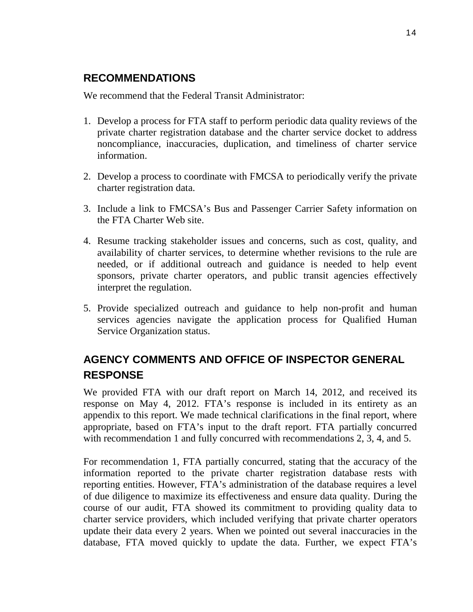## **RECOMMENDATIONS**

We recommend that the Federal Transit Administrator:

- 1. Develop a process for FTA staff to perform periodic data quality reviews of the private charter registration database and the charter service docket to address noncompliance, inaccuracies, duplication, and timeliness of charter service information.
- 2. Develop a process to coordinate with FMCSA to periodically verify the private charter registration data.
- 3. Include a link to FMCSA's Bus and Passenger Carrier Safety information on the FTA Charter Web site.
- 4. Resume tracking stakeholder issues and concerns, such as cost, quality, and availability of charter services, to determine whether revisions to the rule are needed, or if additional outreach and guidance is needed to help event sponsors, private charter operators, and public transit agencies effectively interpret the regulation.
- 5. Provide specialized outreach and guidance to help non-profit and human services agencies navigate the application process for Qualified Human Service Organization status.

# **AGENCY COMMENTS AND OFFICE OF INSPECTOR GENERAL RESPONSE**

We provided FTA with our draft report on March 14, 2012, and received its response on May 4, 2012. FTA's response is included in its entirety as an appendix to this report. We made technical clarifications in the final report, where appropriate, based on FTA's input to the draft report. FTA partially concurred with recommendation 1 and fully concurred with recommendations 2, 3, 4, and 5.

For recommendation 1, FTA partially concurred, stating that the accuracy of the information reported to the private charter registration database rests with reporting entities. However, FTA's administration of the database requires a level of due diligence to maximize its effectiveness and ensure data quality. During the course of our audit, FTA showed its commitment to providing quality data to charter service providers, which included verifying that private charter operators update their data every 2 years. When we pointed out several inaccuracies in the database, FTA moved quickly to update the data. Further, we expect FTA's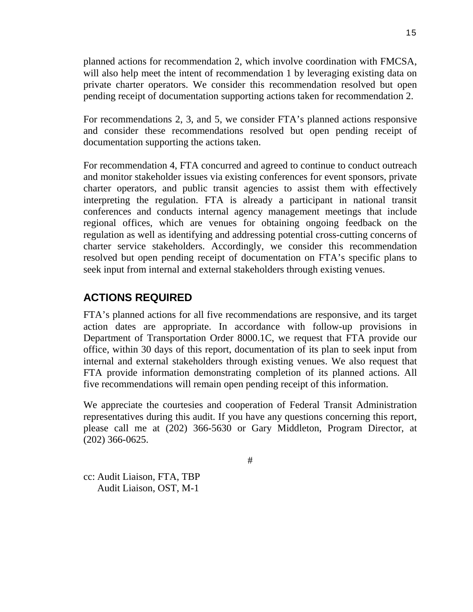planned actions for recommendation 2, which involve coordination with FMCSA, will also help meet the intent of recommendation 1 by leveraging existing data on private charter operators. We consider this recommendation resolved but open pending receipt of documentation supporting actions taken for recommendation 2.

For recommendations 2, 3, and 5, we consider FTA's planned actions responsive and consider these recommendations resolved but open pending receipt of documentation supporting the actions taken.

For recommendation 4, FTA concurred and agreed to continue to conduct outreach and monitor stakeholder issues via existing conferences for event sponsors, private charter operators, and public transit agencies to assist them with effectively interpreting the regulation. FTA is already a participant in national transit conferences and conducts internal agency management meetings that include regional offices, which are venues for obtaining ongoing feedback on the regulation as well as identifying and addressing potential cross-cutting concerns of charter service stakeholders. Accordingly, we consider this recommendation resolved but open pending receipt of documentation on FTA's specific plans to seek input from internal and external stakeholders through existing venues.

## **ACTIONS REQUIRED**

FTA's planned actions for all five recommendations are responsive, and its target action dates are appropriate. In accordance with follow-up provisions in Department of Transportation Order 8000.1C, we request that FTA provide our office, within 30 days of this report, documentation of its plan to seek input from internal and external stakeholders through existing venues. We also request that FTA provide information demonstrating completion of its planned actions. All five recommendations will remain open pending receipt of this information.

We appreciate the courtesies and cooperation of Federal Transit Administration representatives during this audit. If you have any questions concerning this report, please call me at (202) 366-5630 or Gary Middleton, Program Director, at (202) 366-0625.

#

cc: Audit Liaison, FTA, TBP Audit Liaison, OST, M-1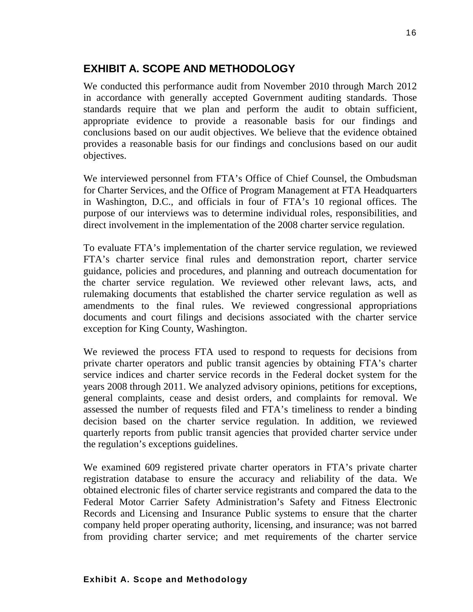## **EXHIBIT A. SCOPE AND METHODOLOGY**

We conducted this performance audit from November 2010 through March 2012 in accordance with generally accepted Government auditing standards. Those standards require that we plan and perform the audit to obtain sufficient, appropriate evidence to provide a reasonable basis for our findings and conclusions based on our audit objectives. We believe that the evidence obtained provides a reasonable basis for our findings and conclusions based on our audit objectives.

We interviewed personnel from FTA's Office of Chief Counsel, the Ombudsman for Charter Services, and the Office of Program Management at FTA Headquarters in Washington, D.C., and officials in four of FTA's 10 regional offices. The purpose of our interviews was to determine individual roles, responsibilities, and direct involvement in the implementation of the 2008 charter service regulation.

To evaluate FTA's implementation of the charter service regulation, we reviewed FTA's charter service final rules and demonstration report, charter service guidance, policies and procedures, and planning and outreach documentation for the charter service regulation. We reviewed other relevant laws, acts, and rulemaking documents that established the charter service regulation as well as amendments to the final rules. We reviewed congressional appropriations documents and court filings and decisions associated with the charter service exception for King County, Washington.

We reviewed the process FTA used to respond to requests for decisions from private charter operators and public transit agencies by obtaining FTA's charter service indices and charter service records in the Federal docket system for the years 2008 through 2011. We analyzed advisory opinions, petitions for exceptions, general complaints, cease and desist orders, and complaints for removal. We assessed the number of requests filed and FTA's timeliness to render a binding decision based on the charter service regulation. In addition, we reviewed quarterly reports from public transit agencies that provided charter service under the regulation's exceptions guidelines.

We examined 609 registered private charter operators in FTA's private charter registration database to ensure the accuracy and reliability of the data. We obtained electronic files of charter service registrants and compared the data to the Federal Motor Carrier Safety Administration's Safety and Fitness Electronic Records and Licensing and Insurance Public systems to ensure that the charter company held proper operating authority, licensing, and insurance; was not barred from providing charter service; and met requirements of the charter service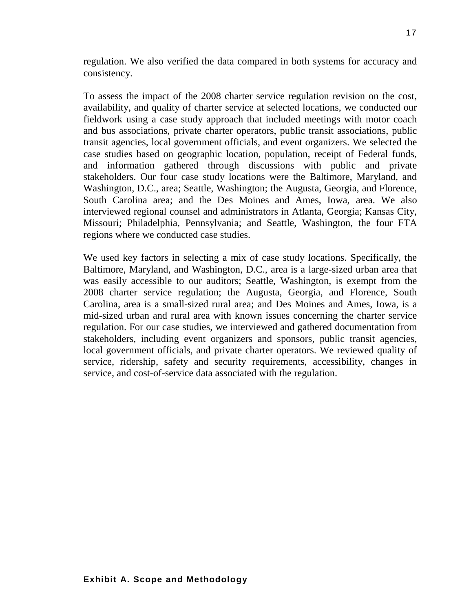regulation. We also verified the data compared in both systems for accuracy and consistency.

To assess the impact of the 2008 charter service regulation revision on the cost, availability, and quality of charter service at selected locations, we conducted our fieldwork using a case study approach that included meetings with motor coach and bus associations, private charter operators, public transit associations, public transit agencies, local government officials, and event organizers. We selected the case studies based on geographic location, population, receipt of Federal funds, and information gathered through discussions with public and private stakeholders. Our four case study locations were the Baltimore, Maryland, and Washington, D.C., area; Seattle, Washington; the Augusta, Georgia, and Florence, South Carolina area; and the Des Moines and Ames, Iowa, area. We also interviewed regional counsel and administrators in Atlanta, Georgia; Kansas City, Missouri; Philadelphia, Pennsylvania; and Seattle, Washington, the four FTA regions where we conducted case studies.

We used key factors in selecting a mix of case study locations. Specifically, the Baltimore, Maryland, and Washington, D.C., area is a large-sized urban area that was easily accessible to our auditors; Seattle, Washington, is exempt from the 2008 charter service regulation; the Augusta, Georgia, and Florence, South Carolina, area is a small-sized rural area; and Des Moines and Ames, Iowa, is a mid-sized urban and rural area with known issues concerning the charter service regulation. For our case studies, we interviewed and gathered documentation from stakeholders, including event organizers and sponsors, public transit agencies, local government officials, and private charter operators. We reviewed quality of service, ridership, safety and security requirements, accessibility, changes in service, and cost-of-service data associated with the regulation.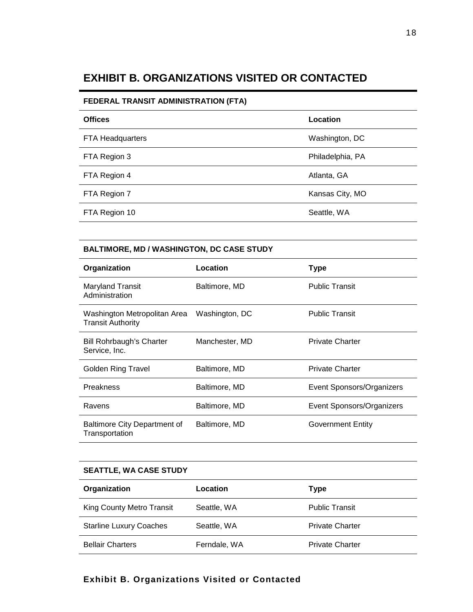## **EXHIBIT B. ORGANIZATIONS VISITED OR CONTACTED**

#### **FEDERAL TRANSIT ADMINISTRATION (FTA)**

| <b>Offices</b>   | Location         |
|------------------|------------------|
| FTA Headquarters | Washington, DC   |
| FTA Region 3     | Philadelphia, PA |
| FTA Region 4     | Atlanta, GA      |
| FTA Region 7     | Kansas City, MO  |
| FTA Region 10    | Seattle, WA      |

#### **BALTIMORE, MD / WASHINGTON, DC CASE STUDY**

| Organization                                             | Location       | <b>Type</b>               |
|----------------------------------------------------------|----------------|---------------------------|
| Maryland Transit<br>Administration                       | Baltimore, MD  | <b>Public Transit</b>     |
| Washington Metropolitan Area<br><b>Transit Authority</b> | Washington, DC | <b>Public Transit</b>     |
| Bill Rohrbaugh's Charter<br>Service, Inc.                | Manchester, MD | <b>Private Charter</b>    |
| Golden Ring Travel                                       | Baltimore, MD  | <b>Private Charter</b>    |
| <b>Preakness</b>                                         | Baltimore, MD  | Event Sponsors/Organizers |
| Ravens                                                   | Baltimore, MD  | Event Sponsors/Organizers |
| Baltimore City Department of<br>Transportation           | Baltimore, MD  | Government Entity         |

#### **SEATTLE, WA CASE STUDY**

| Organization                   | Location     | Type                   |
|--------------------------------|--------------|------------------------|
| King County Metro Transit      | Seattle, WA  | <b>Public Transit</b>  |
| <b>Starline Luxury Coaches</b> | Seattle, WA  | <b>Private Charter</b> |
| <b>Bellair Charters</b>        | Ferndale, WA | <b>Private Charter</b> |

## **Exhibit B. Organizations Visited or Contacted**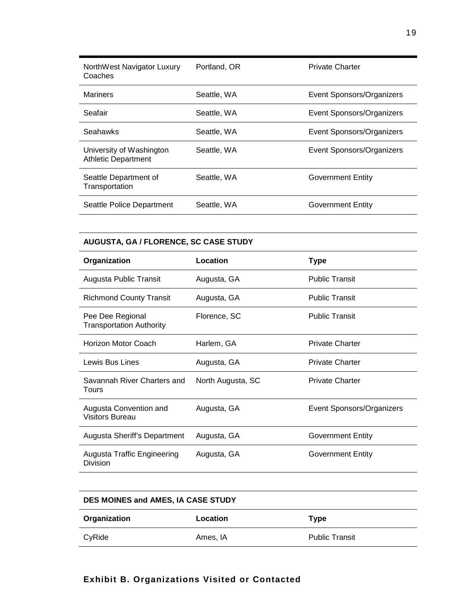| NorthWest Navigator Luxury<br>Coaches                  | Portland, OR | <b>Private Charter</b>    |
|--------------------------------------------------------|--------------|---------------------------|
| <b>Mariners</b>                                        | Seattle, WA  | Event Sponsors/Organizers |
| Seafair                                                | Seattle, WA  | Event Sponsors/Organizers |
| Seahawks                                               | Seattle, WA  | Event Sponsors/Organizers |
| University of Washington<br><b>Athletic Department</b> | Seattle, WA  | Event Sponsors/Organizers |
| Seattle Department of<br>Transportation                | Seattle, WA  | Government Entity         |
| Seattle Police Department                              | Seattle, WA  | Government Entity         |

#### **AUGUSTA, GA / FLORENCE, SC CASE STUDY**

| Organization                                        | Location          | Type                      |
|-----------------------------------------------------|-------------------|---------------------------|
| Augusta Public Transit                              | Augusta, GA       | <b>Public Transit</b>     |
| <b>Richmond County Transit</b>                      | Augusta, GA       | <b>Public Transit</b>     |
| Pee Dee Regional<br><b>Transportation Authority</b> | Florence, SC      | <b>Public Transit</b>     |
| Horizon Motor Coach                                 | Harlem, GA        | <b>Private Charter</b>    |
| Lewis Bus Lines                                     | Augusta, GA       | <b>Private Charter</b>    |
| Savannah River Charters and<br>Tours                | North Augusta, SC | <b>Private Charter</b>    |
| Augusta Convention and<br><b>Visitors Bureau</b>    | Augusta, GA       | Event Sponsors/Organizers |
| Augusta Sheriff's Department                        | Augusta, GA       | <b>Government Entity</b>  |
| Augusta Traffic Engineering<br>Division             | Augusta, GA       | Government Entity         |

#### **DES MOINES and AMES, IA CASE STUDY**

| Organization | Location | Type                  |
|--------------|----------|-----------------------|
| CyRide       | Ames, IA | <b>Public Transit</b> |

#### 19

## **Exhibit B. Organizations Visited or Contacted**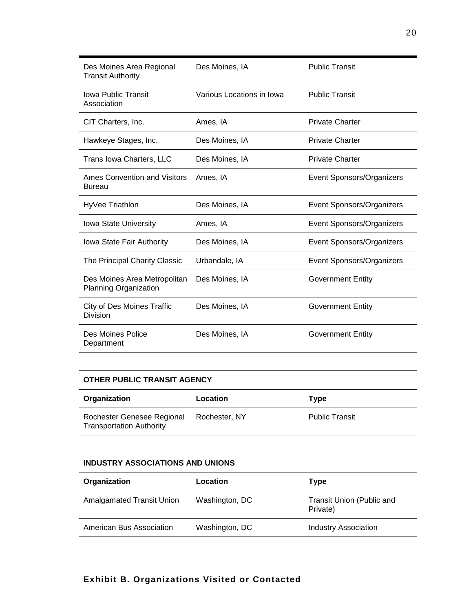| Des Moines Area Regional<br><b>Transit Authority</b>  | Des Moines, IA            | <b>Public Transit</b>     |
|-------------------------------------------------------|---------------------------|---------------------------|
| <b>Iowa Public Transit</b><br>Association             | Various Locations in Iowa | <b>Public Transit</b>     |
| CIT Charters, Inc.                                    | Ames, IA                  | <b>Private Charter</b>    |
| Hawkeye Stages, Inc.                                  | Des Moines, IA            | <b>Private Charter</b>    |
| Trans Iowa Charters, LLC                              | Des Moines, IA            | <b>Private Charter</b>    |
| Ames Convention and Visitors<br><b>Bureau</b>         | Ames, IA                  | Event Sponsors/Organizers |
| HyVee Triathlon                                       | Des Moines, IA            | Event Sponsors/Organizers |
| Iowa State University                                 | Ames, IA                  | Event Sponsors/Organizers |
| Iowa State Fair Authority                             | Des Moines, IA            | Event Sponsors/Organizers |
| The Principal Charity Classic                         | Urbandale, IA             | Event Sponsors/Organizers |
| Des Moines Area Metropolitan<br>Planning Organization | Des Moines, IA            | <b>Government Entity</b>  |
| City of Des Moines Traffic<br>Division                | Des Moines, IA            | <b>Government Entity</b>  |
| Des Moines Police<br>Department                       | Des Moines, IA            | <b>Government Entity</b>  |

#### **OTHER PUBLIC TRANSIT AGENCY**

| Organization                                                  | Location      | Type                  |
|---------------------------------------------------------------|---------------|-----------------------|
| Rochester Genesee Regional<br><b>Transportation Authority</b> | Rochester, NY | <b>Public Transit</b> |

## **INDUSTRY ASSOCIATIONS AND UNIONS**

| Organization              | Location       | Type                                  |
|---------------------------|----------------|---------------------------------------|
| Amalgamated Transit Union | Washington, DC | Transit Union (Public and<br>Private) |
| American Bus Association  | Washington, DC | <b>Industry Association</b>           |

## **Exhibit B. Organizations Visited or Contacted**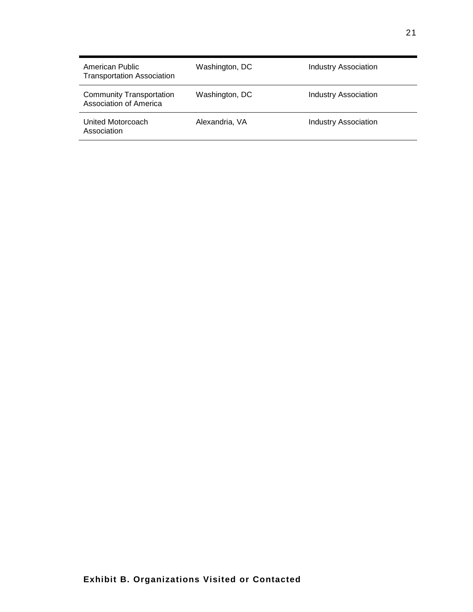| American Public<br><b>Transportation Association</b>             | Washington, DC | <b>Industry Association</b> |
|------------------------------------------------------------------|----------------|-----------------------------|
| <b>Community Transportation</b><br><b>Association of America</b> | Washington, DC | <b>Industry Association</b> |
| United Motorcoach<br>Association                                 | Alexandria, VA | <b>Industry Association</b> |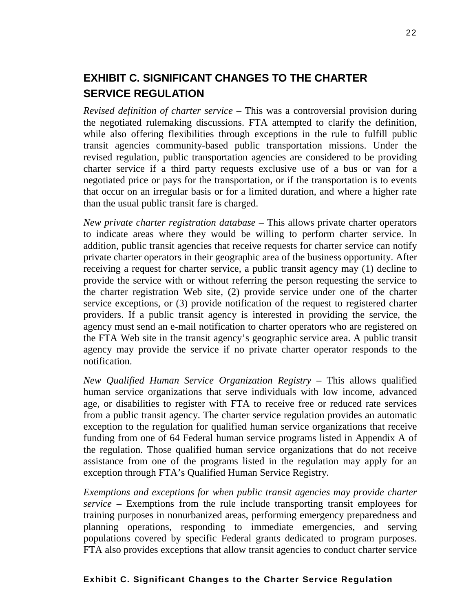# **EXHIBIT C. SIGNIFICANT CHANGES TO THE CHARTER SERVICE REGULATION**

*Revised definition of charter service –* This was a controversial provision during the negotiated rulemaking discussions. FTA attempted to clarify the definition, while also offering flexibilities through exceptions in the rule to fulfill public transit agencies community-based public transportation missions. Under the revised regulation, public transportation agencies are considered to be providing charter service if a third party requests exclusive use of a bus or van for a negotiated price or pays for the transportation, or if the transportation is to events that occur on an irregular basis or for a limited duration, and where a higher rate than the usual public transit fare is charged.

*New private charter registration database* – This allows private charter operators to indicate areas where they would be willing to perform charter service. In addition, public transit agencies that receive requests for charter service can notify private charter operators in their geographic area of the business opportunity. After receiving a request for charter service, a public transit agency may (1) decline to provide the service with or without referring the person requesting the service to the charter registration Web site, (2) provide service under one of the charter service exceptions, or (3) provide notification of the request to registered charter providers. If a public transit agency is interested in providing the service, the agency must send an e-mail notification to charter operators who are registered on the FTA Web site in the transit agency's geographic service area. A public transit agency may provide the service if no private charter operator responds to the notification.

*New Qualified Human Service Organization Registry* – This allows qualified human service organizations that serve individuals with low income, advanced age, or disabilities to register with FTA to receive free or reduced rate services from a public transit agency. The charter service regulation provides an automatic exception to the regulation for qualified human service organizations that receive funding from one of 64 Federal human service programs listed in Appendix A of the regulation. Those qualified human service organizations that do not receive assistance from one of the programs listed in the regulation may apply for an exception through FTA's Qualified Human Service Registry.

*Exemptions and exceptions for when public transit agencies may provide charter service* – Exemptions from the rule include transporting transit employees for training purposes in nonurbanized areas, performing emergency preparedness and planning operations, responding to immediate emergencies, and serving populations covered by specific Federal grants dedicated to program purposes. FTA also provides exceptions that allow transit agencies to conduct charter service

#### **Exhibit C. Significant Changes to the Charter Service Regulation**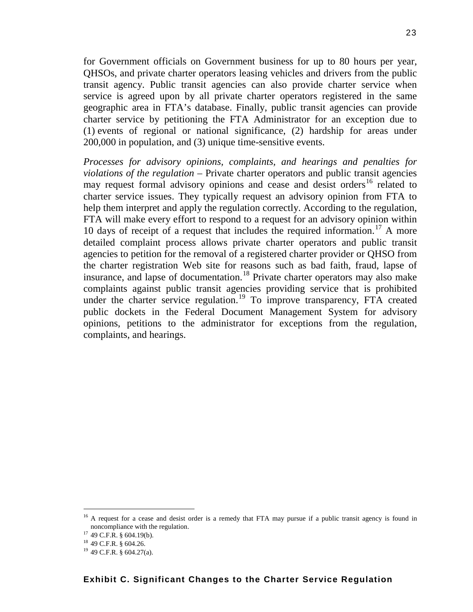for Government officials on Government business for up to 80 hours per year, QHSOs, and private charter operators leasing vehicles and drivers from the public transit agency. Public transit agencies can also provide charter service when service is agreed upon by all private charter operators registered in the same geographic area in FTA's database. Finally, public transit agencies can provide charter service by petitioning the FTA Administrator for an exception due to (1) events of regional or national significance, (2) hardship for areas under 200,000 in population, and (3) unique time-sensitive events.

*Processes for advisory opinions, complaints, and hearings and penalties for violations of the regulation –* Private charter operators and public transit agencies may request formal advisory opinions and cease and desist orders<sup>[16](#page-23-0)</sup> related to charter service issues. They typically request an advisory opinion from FTA to help them interpret and apply the regulation correctly. According to the regulation, FTA will make every effort to respond to a request for an advisory opinion within 10 days of receipt of a request that includes the required information. [17](#page-23-1) A more detailed complaint process allows private charter operators and public transit agencies to petition for the removal of a registered charter provider or QHSO from the charter registration Web site for reasons such as bad faith, fraud, lapse of insurance, and lapse of documentation.<sup>[18](#page-23-2)</sup> Private charter operators may also make complaints against public transit agencies providing service that is prohibited under the charter service regulation.<sup>[19](#page-23-3)</sup> To improve transparency, FTA created public dockets in the Federal Document Management System for advisory opinions, petitions to the administrator for exceptions from the regulation, complaints, and hearings.

<span id="page-23-0"></span><sup>&</sup>lt;sup>16</sup> A request for a cease and desist order is a remedy that FTA may pursue if a public transit agency is found in noncompliance with the regulation.

<span id="page-23-1"></span> $17$  49 C.F.R. § 604.19(b).

<span id="page-23-2"></span><sup>18</sup> 49 C.F.R. § 604.26.

<span id="page-23-3"></span><sup>19</sup> 49 C.F.R. § 604.27(a).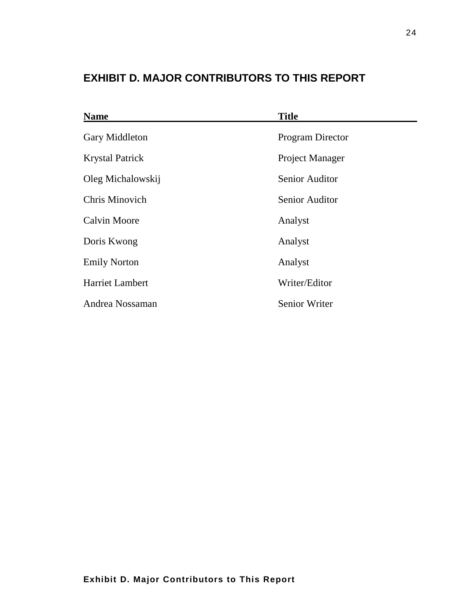# **EXHIBIT D. MAJOR CONTRIBUTORS TO THIS REPORT**

| <b>Name</b>            | <b>Title</b>            |
|------------------------|-------------------------|
| Gary Middleton         | <b>Program Director</b> |
| <b>Krystal Patrick</b> | Project Manager         |
| Oleg Michalowskij      | <b>Senior Auditor</b>   |
| Chris Minovich         | <b>Senior Auditor</b>   |
| <b>Calvin Moore</b>    | Analyst                 |
| Doris Kwong            | Analyst                 |
| <b>Emily Norton</b>    | Analyst                 |
| <b>Harriet Lambert</b> | Writer/Editor           |
| Andrea Nossaman        | <b>Senior Writer</b>    |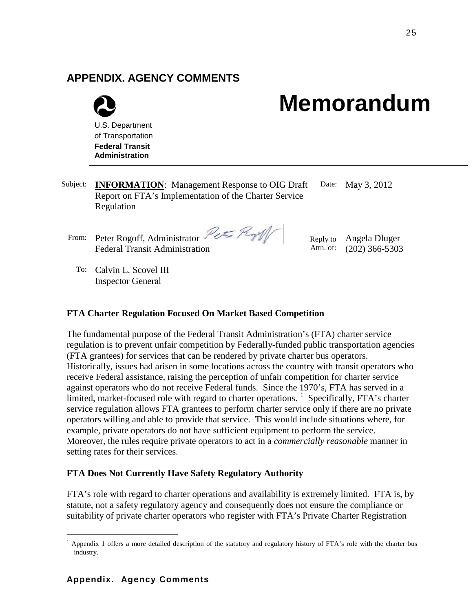## **APPENDIX. AGENCY COMMENTS**



# **Memorandum**

- Subject: **INFORMATION**: Management Response to OIG Draft Report on FTA's Implementation of the Charter Service Regulation Date: May 3, 2012
	- From: Peter Rogoff, Administrator Peter Roy Federal Transit Administration

Reply to Angela Dluger Attn. of: (202) 366-5303

To: Calvin L. Scovel III Inspector General

#### **FTA Charter Regulation Focused On Market Based Competition**

The fundamental purpose of the Federal Transit Administration's (FTA) charter service regulation is to prevent unfair competition by Federally-funded public transportation agencies (FTA grantees) for services that can be rendered by private charter bus operators. Historically, issues had arisen in some locations across the country with transit operators who receive Federal assistance, raising the perception of unfair competition for charter service against operators who do not receive Federal funds. Since the 1970's, FTA has served in a limited, market-focused role with regard to charter operations.  $1$  Specifically, FTA's charter service regulation allows FTA grantees to perform charter service only if there are no private operators willing and able to provide that service. This would include situations where, for example, private operators do not have sufficient equipment to perform the service. Moreover, the rules require private operators to act in a *commercially reasonable* manner in setting rates for their services.

#### **FTA Does Not Currently Have Safety Regulatory Authority**

FTA's role with regard to charter operations and availability is extremely limited. FTA is, by statute, not a safety regulatory agency and consequently does not ensure the compliance or suitability of private charter operators who register with FTA's Private Charter Registration

<span id="page-25-0"></span> $<sup>1</sup>$  Appendix 1 offers a more detailed description of the statutory and regulatory history of FTA's role with the charter bus</sup> industry.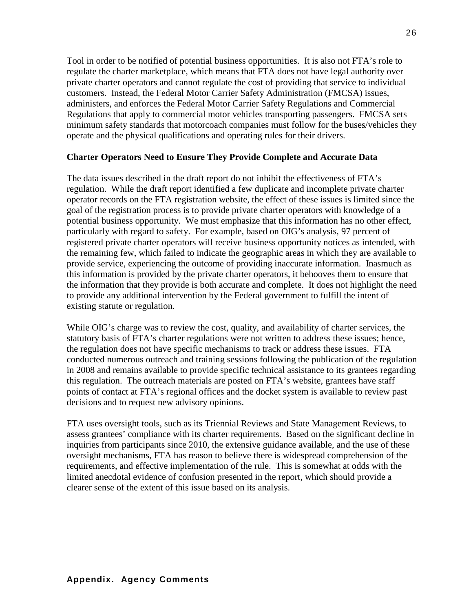Tool in order to be notified of potential business opportunities. It is also not FTA's role to regulate the charter marketplace, which means that FTA does not have legal authority over private charter operators and cannot regulate the cost of providing that service to individual customers. Instead, the Federal Motor Carrier Safety Administration (FMCSA) issues, administers, and enforces the Federal Motor Carrier Safety Regulations and Commercial Regulations that apply to commercial motor vehicles transporting passengers. FMCSA sets minimum safety standards that motorcoach companies must follow for the buses/vehicles they operate and the physical qualifications and operating rules for their drivers.

#### **Charter Operators Need to Ensure They Provide Complete and Accurate Data**

The data issues described in the draft report do not inhibit the effectiveness of FTA's regulation. While the draft report identified a few duplicate and incomplete private charter operator records on the FTA registration website, the effect of these issues is limited since the goal of the registration process is to provide private charter operators with knowledge of a potential business opportunity. We must emphasize that this information has no other effect, particularly with regard to safety. For example, based on OIG's analysis, 97 percent of registered private charter operators will receive business opportunity notices as intended, with the remaining few, which failed to indicate the geographic areas in which they are available to provide service, experiencing the outcome of providing inaccurate information. Inasmuch as this information is provided by the private charter operators, it behooves them to ensure that the information that they provide is both accurate and complete. It does not highlight the need to provide any additional intervention by the Federal government to fulfill the intent of existing statute or regulation.

While OIG's charge was to review the cost, quality, and availability of charter services, the statutory basis of FTA's charter regulations were not written to address these issues; hence, the regulation does not have specific mechanisms to track or address these issues. FTA conducted numerous outreach and training sessions following the publication of the regulation in 2008 and remains available to provide specific technical assistance to its grantees regarding this regulation. The outreach materials are posted on FTA's website, grantees have staff points of contact at FTA's regional offices and the docket system is available to review past decisions and to request new advisory opinions.

FTA uses oversight tools, such as its Triennial Reviews and State Management Reviews, to assess grantees' compliance with its charter requirements. Based on the significant decline in inquiries from participants since 2010, the extensive guidance available, and the use of these oversight mechanisms, FTA has reason to believe there is widespread comprehension of the requirements, and effective implementation of the rule. This is somewhat at odds with the limited anecdotal evidence of confusion presented in the report, which should provide a clearer sense of the extent of this issue based on its analysis.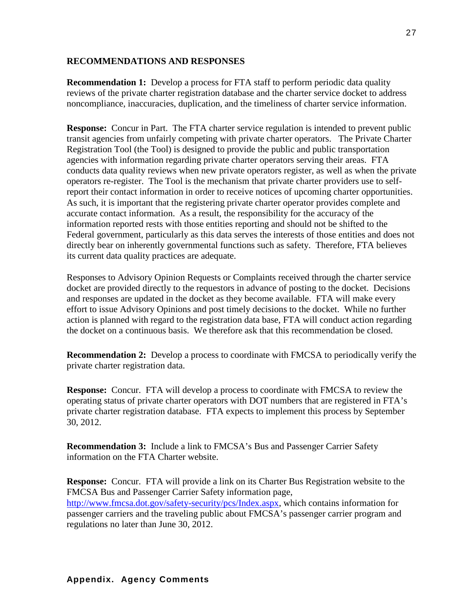#### **RECOMMENDATIONS AND RESPONSES**

**Recommendation 1:** Develop a process for FTA staff to perform periodic data quality reviews of the private charter registration database and the charter service docket to address noncompliance, inaccuracies, duplication, and the timeliness of charter service information.

**Response:** Concur in Part. The FTA charter service regulation is intended to prevent public transit agencies from unfairly competing with private charter operators. The Private Charter Registration Tool (the Tool) is designed to provide the public and public transportation agencies with information regarding private charter operators serving their areas. FTA conducts data quality reviews when new private operators register, as well as when the private operators re-register. The Tool is the mechanism that private charter providers use to selfreport their contact information in order to receive notices of upcoming charter opportunities. As such, it is important that the registering private charter operator provides complete and accurate contact information. As a result, the responsibility for the accuracy of the information reported rests with those entities reporting and should not be shifted to the Federal government, particularly as this data serves the interests of those entities and does not directly bear on inherently governmental functions such as safety. Therefore, FTA believes its current data quality practices are adequate.

Responses to Advisory Opinion Requests or Complaints received through the charter service docket are provided directly to the requestors in advance of posting to the docket. Decisions and responses are updated in the docket as they become available. FTA will make every effort to issue Advisory Opinions and post timely decisions to the docket. While no further action is planned with regard to the registration data base, FTA will conduct action regarding the docket on a continuous basis. We therefore ask that this recommendation be closed.

**Recommendation 2:** Develop a process to coordinate with FMCSA to periodically verify the private charter registration data.

**Response:** Concur. FTA will develop a process to coordinate with FMCSA to review the operating status of private charter operators with DOT numbers that are registered in FTA's private charter registration database. FTA expects to implement this process by September 30, 2012.

**Recommendation 3:** Include a link to FMCSA's Bus and Passenger Carrier Safety information on the FTA Charter website.

**Response:** Concur. FTA will provide a link on its Charter Bus Registration website to the FMCSA Bus and Passenger Carrier Safety information page, [http://www.fmcsa.dot.gov/safety-security/pcs/Index.aspx,](http://www.fmcsa.dot.gov/safety-security/pcs/Index.aspx) which contains information for passenger carriers and the traveling public about FMCSA's passenger carrier program and regulations no later than June 30, 2012.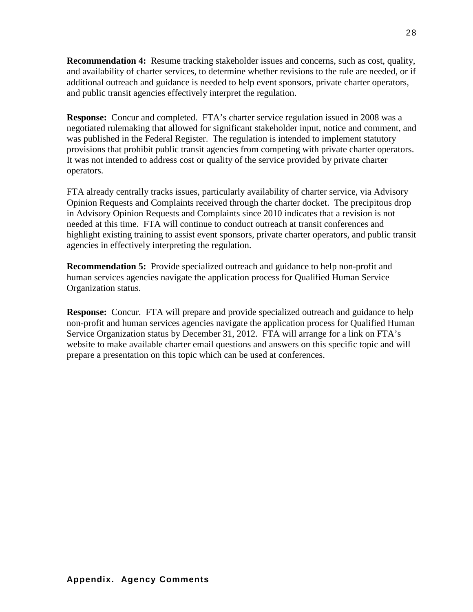**Recommendation 4:** Resume tracking stakeholder issues and concerns, such as cost, quality, and availability of charter services, to determine whether revisions to the rule are needed, or if additional outreach and guidance is needed to help event sponsors, private charter operators, and public transit agencies effectively interpret the regulation.

**Response:** Concur and completed. FTA's charter service regulation issued in 2008 was a negotiated rulemaking that allowed for significant stakeholder input, notice and comment, and was published in the Federal Register. The regulation is intended to implement statutory provisions that prohibit public transit agencies from competing with private charter operators. It was not intended to address cost or quality of the service provided by private charter operators.

FTA already centrally tracks issues, particularly availability of charter service, via Advisory Opinion Requests and Complaints received through the charter docket. The precipitous drop in Advisory Opinion Requests and Complaints since 2010 indicates that a revision is not needed at this time. FTA will continue to conduct outreach at transit conferences and highlight existing training to assist event sponsors, private charter operators, and public transit agencies in effectively interpreting the regulation.

**Recommendation 5:** Provide specialized outreach and guidance to help non-profit and human services agencies navigate the application process for Qualified Human Service Organization status.

**Response:** Concur. FTA will prepare and provide specialized outreach and guidance to help non-profit and human services agencies navigate the application process for Qualified Human Service Organization status by December 31, 2012. FTA will arrange for a link on FTA's website to make available charter email questions and answers on this specific topic and will prepare a presentation on this topic which can be used at conferences.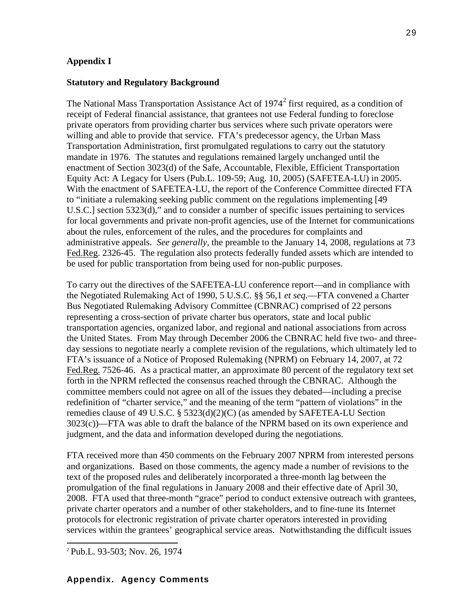#### **Appendix I**

#### **Statutory and Regulatory Background**

The National Mass Transportation Assistance Act of  $1974<sup>2</sup>$  $1974<sup>2</sup>$  $1974<sup>2</sup>$  first required, as a condition of receipt of Federal financial assistance, that grantees not use Federal funding to foreclose private operators from providing charter bus services where such private operators were willing and able to provide that service. FTA's predecessor agency, the Urban Mass Transportation Administration, first promulgated regulations to carry out the statutory mandate in 1976. The statutes and regulations remained largely unchanged until the enactment of Section 3023(d) of the Safe, Accountable, Flexible, Efficient Transportation Equity Act: A Legacy for Users (Pub.L. 109-59; Aug. 10, 2005) (SAFETEA-LU) in 2005. With the enactment of SAFETEA-LU, the report of the Conference Committee directed FTA to "initiate a rulemaking seeking public comment on the regulations implementing [49 U.S.C.] section 5323(d)," and to consider a number of specific issues pertaining to services for local governments and private non-profit agencies, use of the Internet for communications about the rules, enforcement of the rules, and the procedures for complaints and administrative appeals. *See generally,* the preamble to the January 14, 2008, regulations at 73 Fed.Reg. 2326-45. The regulation also protects federally funded assets which are intended to be used for public transportation from being used for non-public purposes.

To carry out the directives of the SAFETEA-LU conference report—and in compliance with the Negotiated Rulemaking Act of 1990, 5 U.S.C. §§ 56,1 *et seq.*—FTA convened a Charter Bus Negotiated Rulemaking Advisory Committee (CBNRAC) comprised of 22 persons representing a cross-section of private charter bus operators, state and local public transportation agencies, organized labor, and regional and national associations from across the United States. From May through December 2006 the CBNRAC held five two- and threeday sessions to negotiate nearly a complete revision of the regulations, which ultimately led to FTA's issuance of a Notice of Proposed Rulemaking (NPRM) on February 14, 2007, at 72 Fed.Reg. 7526-46. As a practical matter, an approximate 80 percent of the regulatory text set forth in the NPRM reflected the consensus reached through the CBNRAC. Although the committee members could not agree on all of the issues they debated—including a precise redefinition of "charter service," and the meaning of the term "pattern of violations" in the remedies clause of 49 U.S.C. § 5323(d)(2)(C) (as amended by SAFETEA-LU Section 3023(c))—FTA was able to draft the balance of the NPRM based on its own experience and judgment, and the data and information developed during the negotiations.

FTA received more than 450 comments on the February 2007 NPRM from interested persons and organizations. Based on those comments, the agency made a number of revisions to the text of the proposed rules and deliberately incorporated a three-month lag between the promulgation of the final regulations in January 2008 and their effective date of April 30, 2008. FTA used that three-month "grace" period to conduct extensive outreach with grantees, private charter operators and a number of other stakeholders, and to fine-tune its Internet protocols for electronic registration of private charter operators interested in providing services within the grantees' geographical service areas. Notwithstanding the difficult issues

29

## **Appendix. Agency Comments**

<span id="page-29-0"></span> <sup>2</sup> Pub.L. 93-503; Nov. 26, 1974